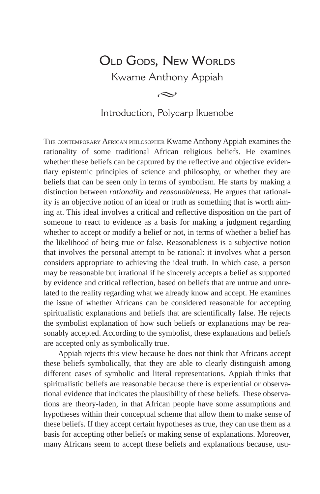## **OLD GODS, NEW WORLDS**

Kwame Anthony Appiah  $\rightsquigarrow$ 

Introduction, Polycarp Ikuenobe

THE CONTEMPORARY AFRICAN PHILOSOPHER Kwame Anthony Appiah examines the rationality of some traditional African religious beliefs. He examines whether these beliefs can be captured by the reflective and objective evidentiary epistemic principles of science and philosophy, or whether they are beliefs that can be seen only in terms of symbolism. He starts by making a distinction between *rationality* and *reasonableness*. He argues that rationality is an objective notion of an ideal or truth as something that is worth aiming at. This ideal involves a critical and reflective disposition on the part of someone to react to evidence as a basis for making a judgment regarding whether to accept or modify a belief or not, in terms of whether a belief has the likelihood of being true or false. Reasonableness is a subjective notion that involves the personal attempt to be rational: it involves what a person considers appropriate to achieving the ideal truth. In which case, a person may be reasonable but irrational if he sincerely accepts a belief as supported by evidence and critical reflection, based on beliefs that are untrue and unrelated to the reality regarding what we already know and accept. He examines the issue of whether Africans can be considered reasonable for accepting spiritualistic explanations and beliefs that are scientifically false. He rejects the symbolist explanation of how such beliefs or explanations may be reasonably accepted. According to the symbolist, these explanations and beliefs are accepted only as symbolically true.

Appiah rejects this view because he does not think that Africans accept these beliefs symbolically, that they are able to clearly distinguish among different cases of symbolic and literal representations. Appiah thinks that spiritualistic beliefs are reasonable because there is experiential or observational evidence that indicates the plausibility of these beliefs. These observations are theory-laden, in that African people have some assumptions and hypotheses within their conceptual scheme that allow them to make sense of these beliefs. If they accept certain hypotheses as true, they can use them as a basis for accepting other beliefs or making sense of explanations. Moreover, many Africans seem to accept these beliefs and explanations because, usu-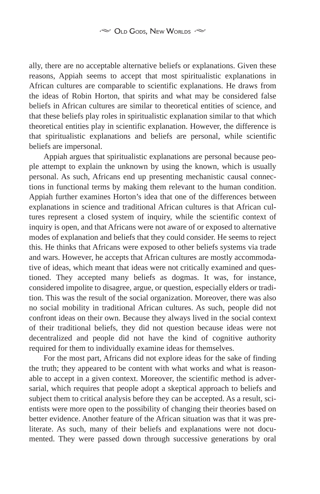ally, there are no acceptable alternative beliefs or explanations. Given these reasons, Appiah seems to accept that most spiritualistic explanations in African cultures are comparable to scientific explanations. He draws from the ideas of Robin Horton, that spirits and what may be considered false beliefs in African cultures are similar to theoretical entities of science, and that these beliefs play roles in spiritualistic explanation similar to that which theoretical entities play in scientific explanation. However, the difference is that spiritualistic explanations and beliefs are personal, while scientific beliefs are impersonal.

Appiah argues that spiritualistic explanations are personal because people attempt to explain the unknown by using the known, which is usually personal. As such, Africans end up presenting mechanistic causal connections in functional terms by making them relevant to the human condition. Appiah further examines Horton's idea that one of the differences between explanations in science and traditional African cultures is that African cultures represent a closed system of inquiry, while the scientific context of inquiry is open, and that Africans were not aware of or exposed to alternative modes of explanation and beliefs that they could consider. He seems to reject this. He thinks that Africans were exposed to other beliefs systems via trade and wars. However, he accepts that African cultures are mostly accommodative of ideas, which meant that ideas were not critically examined and questioned. They accepted many beliefs as dogmas. It was, for instance, considered impolite to disagree, argue, or question, especially elders or tradition. This was the result of the social organization. Moreover, there was also no social mobility in traditional African cultures. As such, people did not confront ideas on their own. Because they always lived in the social context of their traditional beliefs, they did not question because ideas were not decentralized and people did not have the kind of cognitive authority required for them to individually examine ideas for themselves.

For the most part, Africans did not explore ideas for the sake of finding the truth; they appeared to be content with what works and what is reasonable to accept in a given context. Moreover, the scientific method is adversarial, which requires that people adopt a skeptical approach to beliefs and subject them to critical analysis before they can be accepted. As a result, scientists were more open to the possibility of changing their theories based on better evidence. Another feature of the African situation was that it was preliterate. As such, many of their beliefs and explanations were not documented. They were passed down through successive generations by oral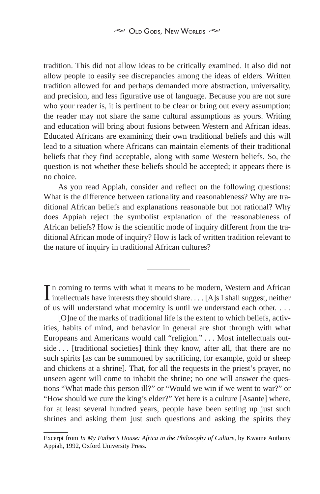tradition. This did not allow ideas to be critically examined. It also did not allow people to easily see discrepancies among the ideas of elders. Written tradition allowed for and perhaps demanded more abstraction, universality, and precision, and less figurative use of language. Because you are not sure who your reader is, it is pertinent to be clear or bring out every assumption; the reader may not share the same cultural assumptions as yours. Writing and education will bring about fusions between Western and African ideas. Educated Africans are examining their own traditional beliefs and this will lead to a situation where Africans can maintain elements of their traditional beliefs that they find acceptable, along with some Western beliefs. So, the question is not whether these beliefs should be accepted; it appears there is no choice.

As you read Appiah, consider and reflect on the following questions: What is the difference between rationality and reasonableness? Why are traditional African beliefs and explanations reasonable but not rational? Why does Appiah reject the symbolist explanation of the reasonableness of African beliefs? How is the scientific mode of inquiry different from the traditional African mode of inquiry? How is lack of written tradition relevant to the nature of inquiry in traditional African cultures?

In coming to terms with what it means to be modern, Western and African intellectuals have interests they should share.... [A]s I shall suggest, neither n coming to terms with what it means to be modern, Western and African of us will understand what modernity is until we understand each other. . . .

[O]ne of the marks of traditional life is the extent to which beliefs, activities, habits of mind, and behavior in general are shot through with what Europeans and Americans would call "religion." . . . Most intellectuals outside . . . [traditional societies] think they know, after all, that there are no such spirits [as can be summoned by sacrificing, for example, gold or sheep and chickens at a shrine]. That, for all the requests in the priest's prayer, no unseen agent will come to inhabit the shrine; no one will answer the questions "What made this person ill?" or "Would we win if we went to war?" or "How should we cure the king's elder?" Yet here is a culture [Asante] where, for at least several hundred years, people have been setting up just such shrines and asking them just such questions and asking the spirits they

Excerpt from *In My Father's House: Africa in the Philosophy of Culture*, by Kwame Anthony Appiah, 1992, Oxford University Press.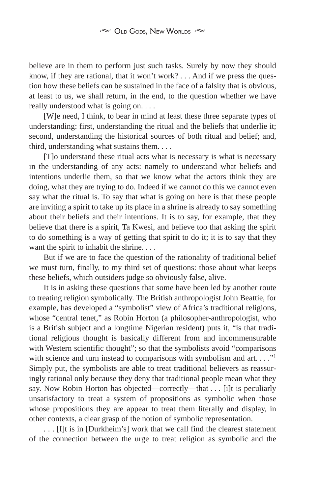believe are in them to perform just such tasks. Surely by now they should know, if they are rational, that it won't work? . . . And if we press the question how these beliefs can be sustained in the face of a falsity that is obvious, at least to us, we shall return, in the end, to the question whether we have really understood what is going on....

[W]e need, I think, to bear in mind at least these three separate types of understanding: first, understanding the ritual and the beliefs that underlie it; second, understanding the historical sources of both ritual and belief; and, third, understanding what sustains them. . . .

[T]o understand these ritual acts what is necessary is what is necessary in the understanding of any acts: namely to understand what beliefs and intentions underlie them, so that we know what the actors think they are doing, what they are trying to do. Indeed if we cannot do this we cannot even say what the ritual is. To say that what is going on here is that these people are inviting a spirit to take up its place in a shrine is already to say something about their beliefs and their intentions. It is to say, for example, that they believe that there is a spirit, Ta Kwesi, and believe too that asking the spirit to do something is a way of getting that spirit to do it; it is to say that they want the spirit to inhabit the shrine....

But if we are to face the question of the rationality of traditional belief we must turn, finally, to my third set of questions: those about what keeps these beliefs, which outsiders judge so obviously false, alive.

It is in asking these questions that some have been led by another route to treating religion symbolically. The British anthropologist John Beattie, for example, has developed a "symbolist" view of Africa's traditional religions, whose "central tenet," as Robin Horton (a philosopher-anthropologist, who is a British subject and a longtime Nigerian resident) puts it, "is that traditional religious thought is basically different from and incommensurable with Western scientific thought"; so that the symbolists avoid "comparisons" with science and turn instead to comparisons with symbolism and  $art. \ldots$ <sup>1</sup> Simply put, the symbolists are able to treat traditional believers as reassuringly rational only because they deny that traditional people mean what they say. Now Robin Horton has objected—correctly—that . . . [i]t is peculiarly unsatisfactory to treat a system of propositions as symbolic when those whose propositions they are appear to treat them literally and display, in other contexts, a clear grasp of the notion of symbolic representation.

. . . [I]t is in [Durkheim's] work that we call find the clearest statement of the connection between the urge to treat religion as symbolic and the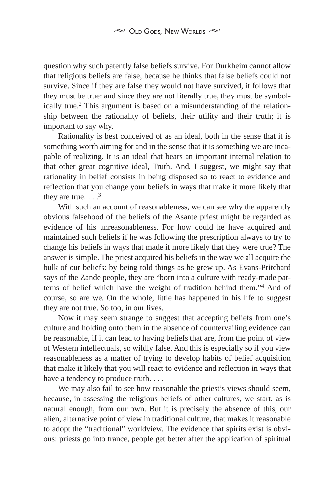question why such patently false beliefs survive. For Durkheim cannot allow that religious beliefs are false, because he thinks that false beliefs could not survive. Since if they are false they would not have survived, it follows that they must be true: and since they are not literally true, they must be symbolically true.<sup>2</sup> This argument is based on a misunderstanding of the relationship between the rationality of beliefs, their utility and their truth; it is important to say why.

Rationality is best conceived of as an ideal, both in the sense that it is something worth aiming for and in the sense that it is something we are incapable of realizing. It is an ideal that bears an important internal relation to that other great cognitive ideal, Truth. And, I suggest, we might say that rationality in belief consists in being disposed so to react to evidence and reflection that you change your beliefs in ways that make it more likely that they are true... $^3$ 

With such an account of reasonableness, we can see why the apparently obvious falsehood of the beliefs of the Asante priest might be regarded as evidence of his unreasonableness. For how could he have acquired and maintained such beliefs if he was following the prescription always to try to change his beliefs in ways that made it more likely that they were true? The answer is simple. The priest acquired his beliefs in the way we all acquire the bulk of our beliefs: by being told things as he grew up. As Evans-Pritchard says of the Zande people, they are "born into a culture with ready-made patterns of belief which have the weight of tradition behind them."4 And of course, so are we. On the whole, little has happened in his life to suggest they are not true. So too, in our lives.

Now it may seem strange to suggest that accepting beliefs from one's culture and holding onto them in the absence of countervailing evidence can be reasonable, if it can lead to having beliefs that are, from the point of view of Western intellectuals, so wildly false. And this is especially so if you view reasonableness as a matter of trying to develop habits of belief acquisition that make it likely that you will react to evidence and reflection in ways that have a tendency to produce truth....

We may also fail to see how reasonable the priest's views should seem, because, in assessing the religious beliefs of other cultures, we start, as is natural enough, from our own. But it is precisely the absence of this, our alien, alternative point of view in traditional culture, that makes it reasonable to adopt the "traditional" worldview. The evidence that spirits exist is obvious: priests go into trance, people get better after the application of spiritual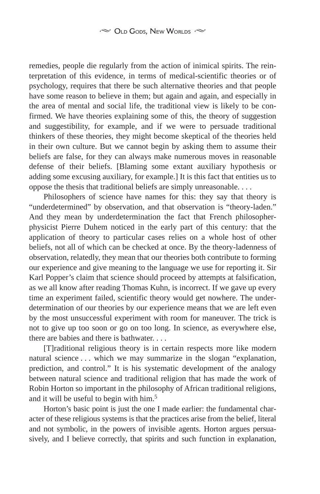remedies, people die regularly from the action of inimical spirits. The reinterpretation of this evidence, in terms of medical-scientific theories or of psychology, requires that there be such alternative theories and that people have some reason to believe in them; but again and again, and especially in the area of mental and social life, the traditional view is likely to be confirmed. We have theories explaining some of this, the theory of suggestion and suggestibility, for example, and if we were to persuade traditional thinkers of these theories, they might become skeptical of the theories held in their own culture. But we cannot begin by asking them to assume their beliefs are false, for they can always make numerous moves in reasonable defense of their beliefs. [Blaming some extant auxiliary hypothesis or adding some excusing auxiliary, for example.] It is this fact that entities us to oppose the thesis that traditional beliefs are simply unreasonable....

Philosophers of science have names for this: they say that theory is "underdetermined" by observation, and that observation is "theory-laden." And they mean by underdetermination the fact that French philosopherphysicist Pierre Duhem noticed in the early part of this century: that the application of theory to particular cases relies on a whole host of other beliefs, not all of which can be checked at once. By the theory-ladenness of observation, relatedly, they mean that our theories both contribute to forming our experience and give meaning to the language we use for reporting it. Sir Karl Popper's claim that science should proceed by attempts at falsification, as we all know after reading Thomas Kuhn, is incorrect. If we gave up every time an experiment failed, scientific theory would get nowhere. The underdetermination of our theories by our experience means that we are left even by the most unsuccessful experiment with room for maneuver. The trick is not to give up too soon or go on too long. In science, as everywhere else, there are babies and there is bathwater....

[T]raditional religious theory is in certain respects more like modern natural science . . . which we may summarize in the slogan "explanation, prediction, and control." It is his systematic development of the analogy between natural science and traditional religion that has made the work of Robin Horton so important in the philosophy of African traditional religions, and it will be useful to begin with him.<sup>5</sup>

Horton's basic point is just the one I made earlier: the fundamental character of these religious systems is that the practices arise from the belief, literal and not symbolic, in the powers of invisible agents. Horton argues persuasively, and I believe correctly, that spirits and such function in explanation,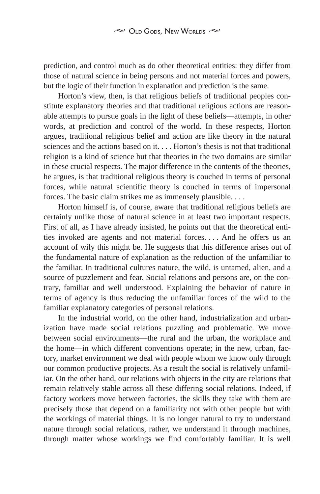prediction, and control much as do other theoretical entities: they differ from those of natural science in being persons and not material forces and powers, but the logic of their function in explanation and prediction is the same.

Horton's view, then, is that religious beliefs of traditional peoples constitute explanatory theories and that traditional religious actions are reasonable attempts to pursue goals in the light of these beliefs—attempts, in other words, at prediction and control of the world. In these respects, Horton argues, traditional religious belief and action are like theory in the natural sciences and the actions based on it. . . . Horton's thesis is not that traditional religion is a kind of science but that theories in the two domains are similar in these crucial respects. The major difference in the contents of the theories, he argues, is that traditional religious theory is couched in terms of personal forces, while natural scientific theory is couched in terms of impersonal forces. The basic claim strikes me as immensely plausible....

Horton himself is, of course, aware that traditional religious beliefs are certainly unlike those of natural science in at least two important respects. First of all, as I have already insisted, he points out that the theoretical entities invoked are agents and not material forces. . . . And he offers us an account of wily this might be. He suggests that this difference arises out of the fundamental nature of explanation as the reduction of the unfamiliar to the familiar. In traditional cultures nature, the wild, is untamed, alien, and a source of puzzlement and fear. Social relations and persons are, on the contrary, familiar and well understood. Explaining the behavior of nature in terms of agency is thus reducing the unfamiliar forces of the wild to the familiar explanatory categories of personal relations.

In the industrial world, on the other hand, industrialization and urbanization have made social relations puzzling and problematic. We move between social environments—the rural and the urban, the workplace and the home—in which different conventions operate; in the new, urban, factory, market environment we deal with people whom we know only through our common productive projects. As a result the social is relatively unfamiliar. On the other hand, our relations with objects in the city are relations that remain relatively stable across all these differing social relations. Indeed, if factory workers move between factories, the skills they take with them are precisely those that depend on a familiarity not with other people but with the workings of material things. It is no longer natural to try to understand nature through social relations, rather, we understand it through machines, through matter whose workings we find comfortably familiar. It is well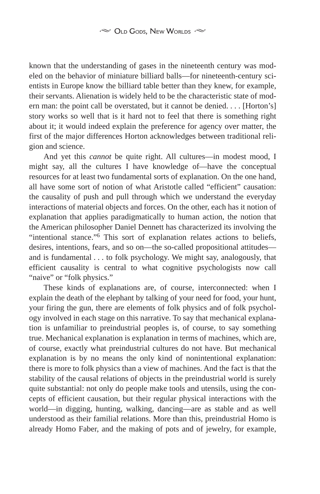known that the understanding of gases in the nineteenth century was modeled on the behavior of miniature billiard balls—for nineteenth-century scientists in Europe know the billiard table better than they knew, for example, their servants. Alienation is widely held to be the characteristic state of modern man: the point call be overstated, but it cannot be denied. . . . [Horton's] story works so well that is it hard not to feel that there is something right about it; it would indeed explain the preference for agency over matter, the first of the major differences Horton acknowledges between traditional religion and science.

And yet this *cannot* be quite right. All cultures—in modest mood, I might say, all the cultures I have knowledge of—have the conceptual resources for at least two fundamental sorts of explanation. On the one hand, all have some sort of notion of what Aristotle called "efficient" causation: the causality of push and pull through which we understand the everyday interactions of material objects and forces. On the other, each has it notion of explanation that applies paradigmatically to human action, the notion that the American philosopher Daniel Dennett has characterized its involving the "intentional stance."<sup>6</sup> This sort of explanation relates actions to beliefs, desires, intentions, fears, and so on—the so-called propositional attitudes and is fundamental . . . to folk psychology. We might say, analogously, that efficient causality is central to what cognitive psychologists now call "naive" or "folk physics."

These kinds of explanations are, of course, interconnected: when I explain the death of the elephant by talking of your need for food, your hunt, your firing the gun, there are elements of folk physics and of folk psychology involved in each stage on this narrative. To say that mechanical explanation is unfamiliar to preindustrial peoples is, of course, to say something true. Mechanical explanation is explanation in terms of machines, which are, of course, exactly what preindustrial cultures do not have. But mechanical explanation is by no means the only kind of nonintentional explanation: there is more to folk physics than a view of machines. And the fact is that the stability of the causal relations of objects in the preindustrial world is surely quite substantial: not only do people make tools and utensils, using the concepts of efficient causation, but their regular physical interactions with the world—in digging, hunting, walking, dancing—are as stable and as well understood as their familial relations. More than this, preindustrial Homo is already Homo Faber, and the making of pots and of jewelry, for example,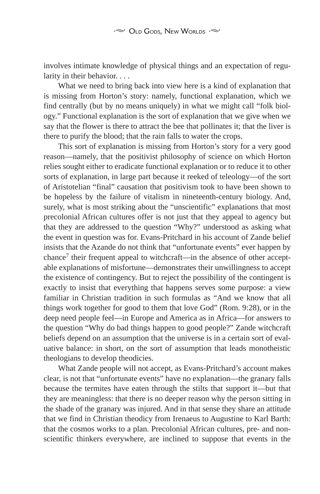involves intimate knowledge of physical things and an expectation of regularity in their behavior....

What we need to bring back into view here is a kind of explanation that is missing from Horton's story: namely, functional explanation, which we find centrally (but by no means uniquely) in what we might call "folk biology." Functional explanation is the sort of explanation that we give when we say that the flower is there to attract the bee that pollinates it; that the liver is there to purify the blood; that the rain falls to water the crops.

This sort of explanation is missing from Horton's story for a very good reason—namely, that the positivist philosophy of science on which Horton relies sought either to eradicate functional explanation or to reduce it to other sorts of explanation, in large part because it reeked of teleology—of the sort of Aristotelian "final" causation that positivism took to have been shown to be hopeless by the failure of vitalism in nineteenth-century biology. And, surely, what is most striking about the "unscientific" explanations that most precolonial African cultures offer is not just that they appeal to agency but that they are addressed to the question "Why?" understood as asking what the event in question was for. Evans-Pritchard in his account of Zande belief insists that the Azande do not think that "unfortunate events" ever happen by chance<sup>7</sup> their frequent appeal to witchcraft—in the absence of other acceptable explanations of misfortune—demonstrates their unwillingness to accept the existence of contingency. But to reject the possibility of the contingent is exactly to insist that everything that happens serves some purpose: a view familiar in Christian tradition in such formulas as "And we know that all things work together for good to them that love God" (Rom. 9:28), or in the deep need people feel—in Europe and America as in Africa—for answers to the question "Why do bad things happen to good people?" Zande witchcraft beliefs depend on an assumption that the universe is in a certain sort of evaluative balance: in short, on the sort of assumption that leads monotheistic theologians to develop theodicies.

What Zande people will not accept, as Evans-Pritchard's account makes clear, is not that "unfortunate events" have no explanation—the granary falls because the termites have eaten through the stilts that support it—but that they are meaningless: that there is no deeper reason why the person sitting in the shade of the granary was injured. And in that sense they share an attitude that we find in Christian theodicy from Irenaeus to Augustine to Karl Barth: that the cosmos works to a plan. Precolonial African cultures, pre- and nonscientific thinkers everywhere, are inclined to suppose that events in the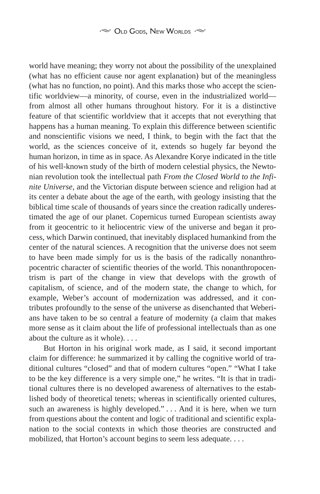world have meaning; they worry not about the possibility of the unexplained (what has no efficient cause nor agent explanation) but of the meaningless (what has no function, no point). And this marks those who accept the scientific worldview—a minority, of course, even in the industrialized world from almost all other humans throughout history. For it is a distinctive feature of that scientific worldview that it accepts that not everything that happens has a human meaning. To explain this difference between scientific and nonscientific visions we need, I think, to begin with the fact that the world, as the sciences conceive of it, extends so hugely far beyond the human horizon, in time as in space. As Alexandre Korye indicated in the title of his well-known study of the birth of modern celestial physics, the Newtonian revolution took the intellectual path *From the Closed World to the Infinite Universe*, and the Victorian dispute between science and religion had at its center a debate about the age of the earth, with geology insisting that the biblical time scale of thousands of years since the creation radically underestimated the age of our planet. Copernicus turned European scientists away from it geocentric to it heliocentric view of the universe and began it process, which Darwin continued, that inevitably displaced humankind from the center of the natural sciences. A recognition that the universe does not seem to have been made simply for us is the basis of the radically nonanthropocentric character of scientific theories of the world. This nonanthropocentrism is part of the change in view that develops with the growth of capitalism, of science, and of the modern state, the change to which, for example, Weber's account of modernization was addressed, and it contributes profoundly to the sense of the universe as disenchanted that Weberians have taken to be so central a feature of modernity (a claim that makes more sense as it claim about the life of professional intellectuals than as one about the culture as it whole)....

But Horton in his original work made, as I said, it second important claim for difference: he summarized it by calling the cognitive world of traditional cultures "closed" and that of modern cultures "open." "What I take to be the key difference is a very simple one," he writes. "It is that in traditional cultures there is no developed awareness of alternatives to the established body of theoretical tenets; whereas in scientifically oriented cultures, such an awareness is highly developed." . . . And it is here, when we turn from questions about the content and logic of traditional and scientific explanation to the social contexts in which those theories are constructed and mobilized, that Horton's account begins to seem less adequate....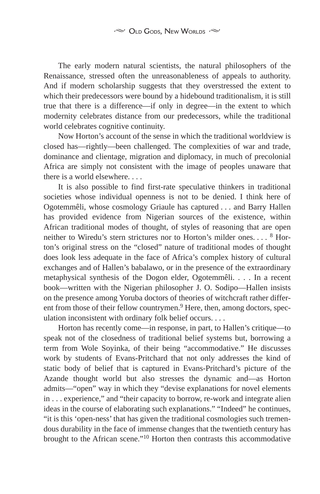The early modern natural scientists, the natural philosophers of the Renaissance, stressed often the unreasonableness of appeals to authority. And if modern scholarship suggests that they overstressed the extent to which their predecessors were bound by a hidebound traditionalism, it is still true that there is a difference—if only in degree—in the extent to which modernity celebrates distance from our predecessors, while the traditional world celebrates cognitive continuity.

Now Horton's account of the sense in which the traditional worldview is closed has—rightly—been challenged. The complexities of war and trade, dominance and clientage, migration and diplomacy, in much of precolonial Africa are simply not consistent with the image of peoples unaware that there is a world elsewhere....

It is also possible to find first-rate speculative thinkers in traditional societies whose individual openness is not to be denied. I think here of Ogotemmêli, whose cosmology Griaule has captured . . . and Barry Hallen has provided evidence from Nigerian sources of the existence, within African traditional modes of thought, of styles of reasoning that are open neither to Wiredu's stern strictures nor to Horton's milder ones. . . . 8 Horton's original stress on the "closed" nature of traditional modes of thought does look less adequate in the face of Africa's complex history of cultural exchanges and of Hallen's babalawo, or in the presence of the extraordinary metaphysical synthesis of the Dogon elder, Ogotemmêli. . . . In a recent book—written with the Nigerian philosopher J. O. Sodipo—Hallen insists on the presence among Yoruba doctors of theories of witchcraft rather different from those of their fellow countrymen.<sup>9</sup> Here, then, among doctors, speculation inconsistent with ordinary folk belief occurs....

Horton has recently come—in response, in part, to Hallen's critique—to speak not of the closedness of traditional belief systems but, borrowing a term from Wole Soyinka, of their being "accommodative." He discusses work by students of Evans-Pritchard that not only addresses the kind of static body of belief that is captured in Evans-Pritchard's picture of the Azande thought world but also stresses the dynamic and—as Horton admits—"open" way in which they "devise explanations for novel elements in . . . experience," and "their capacity to borrow, re-work and integrate alien ideas in the course of elaborating such explanations." "Indeed" he continues, "it is this 'open-ness' that has given the traditional cosmologies such tremendous durability in the face of immense changes that the twentieth century has brought to the African scene."10 Horton then contrasts this accommodative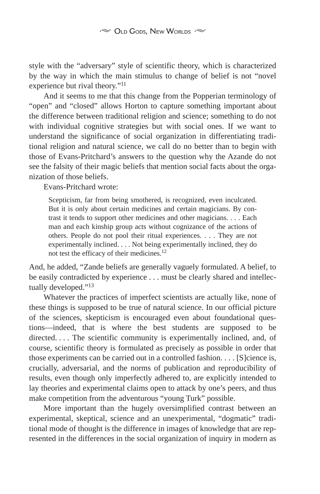style with the "adversary" style of scientific theory, which is characterized by the way in which the main stimulus to change of belief is not "novel experience but rival theory."<sup>11</sup>

And it seems to me that this change from the Popperian terminology of "open" and "closed" allows Horton to capture something important about the difference between traditional religion and science; something to do not with individual cognitive strategies but with social ones. If we want to understand the significance of social organization in differentiating traditional religion and natural science, we call do no better than to begin with those of Evans-Pritchard's answers to the question why the Azande do not see the falsity of their magic beliefs that mention social facts about the organization of those beliefs.

Evans-Pritchard wrote:

Scepticism, far from being smothered, is recognized, even inculcated. But it is only about certain medicines and certain magicians. By contrast it tends to support other medicines and other magicians. . . . Each man and each kinship group acts without cognizance of the actions of others. People do not pool their ritual experiences. . . . They are not experimentally inclined. . . . Not being experimentally inclined, they do not test the efficacy of their medicines.12

And, he added, "Zande beliefs are generally vaguely formulated. A belief, to be easily contradicted by experience . . . must be clearly shared and intellectually developed."<sup>13</sup>

Whatever the practices of imperfect scientists are actually like, none of these things is supposed to be true of natural science. In our official picture of the sciences, skepticism is encouraged even about foundational questions—indeed, that is where the best students are supposed to be directed.... The scientific community is experimentally inclined, and, of course, scientific theory is formulated as precisely as possible in order that those experiments can be carried out in a controlled fashion. . . . [S]cience is, crucially, adversarial, and the norms of publication and reproducibility of results, even though only imperfectly adhered to, are explicitly intended to lay theories and experimental claims open to attack by one's peers, and thus make competition from the adventurous "young Turk" possible.

More important than the hugely oversimplified contrast between an experimental, skeptical, science and an unexperimental, "dogmatic" traditional mode of thought is the difference in images of knowledge that are represented in the differences in the social organization of inquiry in modern as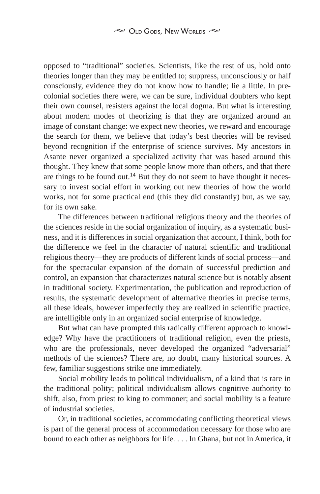opposed to "traditional" societies. Scientists, like the rest of us, hold onto theories longer than they may be entitled to; suppress, unconsciously or half consciously, evidence they do not know how to handle; lie a little. In precolonial societies there were, we can be sure, individual doubters who kept their own counsel, resisters against the local dogma. But what is interesting about modern modes of theorizing is that they are organized around an image of constant change: we expect new theories, we reward and encourage the search for them, we believe that today's best theories will be revised beyond recognition if the enterprise of science survives. My ancestors in Asante never organized a specialized activity that was based around this thought. They knew that some people know more than others, and that there are things to be found out.<sup>14</sup> But they do not seem to have thought it necessary to invest social effort in working out new theories of how the world works, not for some practical end (this they did constantly) but, as we say, for its own sake.

The differences between traditional religious theory and the theories of the sciences reside in the social organization of inquiry, as a systematic business, and it is differences in social organization that account, I think, both for the difference we feel in the character of natural scientific and traditional religious theory—they are products of different kinds of social process—and for the spectacular expansion of the domain of successful prediction and control, an expansion that characterizes natural science but is notably absent in traditional society. Experimentation, the publication and reproduction of results, the systematic development of alternative theories in precise terms, all these ideals, however imperfectly they are realized in scientific practice, are intelligible only in an organized social enterprise of knowledge.

But what can have prompted this radically different approach to knowledge? Why have the practitioners of traditional religion, even the priests, who are the professionals, never developed the organized "adversarial" methods of the sciences? There are, no doubt, many historical sources. A few, familiar suggestions strike one immediately.

Social mobility leads to political individualism, of a kind that is rare in the traditional polity; political individualism allows cognitive authority to shift, also, from priest to king to commoner; and social mobility is a feature of industrial societies.

Or, in traditional societies, accommodating conflicting theoretical views is part of the general process of accommodation necessary for those who are bound to each other as neighbors for life. . . . In Ghana, but not in America, it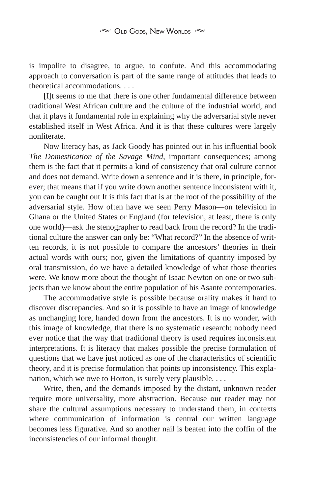is impolite to disagree, to argue, to confute. And this accommodating approach to conversation is part of the same range of attitudes that leads to theoretical accommodations....

[I]t seems to me that there is one other fundamental difference between traditional West African culture and the culture of the industrial world, and that it plays it fundamental role in explaining why the adversarial style never established itself in West Africa. And it is that these cultures were largely nonliterate.

Now literacy has, as Jack Goody has pointed out in his influential book *The Domestication of the Savage Mind*, important consequences; among them is the fact that it permits a kind of consistency that oral culture cannot and does not demand. Write down a sentence and it is there, in principle, forever; that means that if you write down another sentence inconsistent with it, you can be caught out It is this fact that is at the root of the possibility of the adversarial style. How often have we seen Perry Mason—on television in Ghana or the United States or England (for television, at least, there is only one world)—ask the stenographer to read back from the record? In the traditional culture the answer can only be: "What record?" In the absence of written records, it is not possible to compare the ancestors' theories in their actual words with ours; nor, given the limitations of quantity imposed by oral transmission, do we have a detailed knowledge of what those theories were. We know more about the thought of Isaac Newton on one or two subjects than we know about the entire population of his Asante contemporaries.

The accommodative style is possible because orality makes it hard to discover discrepancies. And so it is possible to have an image of knowledge as unchanging lore, handed down from the ancestors. It is no wonder, with this image of knowledge, that there is no systematic research: nobody need ever notice that the way that traditional theory is used requires inconsistent interpretations. It is literacy that makes possible the precise formulation of questions that we have just noticed as one of the characteristics of scientific theory, and it is precise formulation that points up inconsistency. This explanation, which we owe to Horton, is surely very plausible....

Write, then, and the demands imposed by the distant, unknown reader require more universality, more abstraction. Because our reader may not share the cultural assumptions necessary to understand them, in contexts where communication of information is central our written language becomes less figurative. And so another nail is beaten into the coffin of the inconsistencies of our informal thought.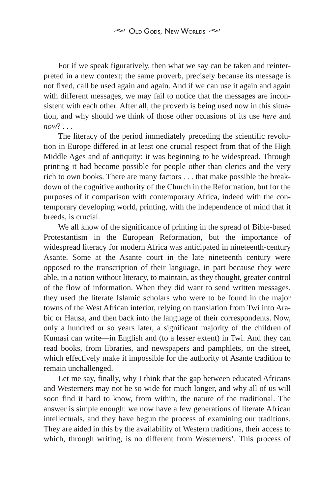For if we speak figuratively, then what we say can be taken and reinterpreted in a new context; the same proverb, precisely because its message is not fixed, call be used again and again. And if we can use it again and again with different messages, we may fail to notice that the messages are inconsistent with each other. After all, the proverb is being used now in this situation, and why should we think of those other occasions of its use *here* and *now*?...

The literacy of the period immediately preceding the scientific revolution in Europe differed in at least one crucial respect from that of the High Middle Ages and of antiquity: it was beginning to be widespread. Through printing it had become possible for people other than clerics and the very rich to own books. There are many factors . . . that make possible the breakdown of the cognitive authority of the Church in the Reformation, but for the purposes of it comparison with contemporary Africa, indeed with the contemporary developing world, printing, with the independence of mind that it breeds, is crucial.

We all know of the significance of printing in the spread of Bible-based Protestantism in the European Reformation, but the importance of widespread literacy for modern Africa was anticipated in nineteenth-century Asante. Some at the Asante court in the late nineteenth century were opposed to the transcription of their language, in part because they were able, in a nation without literacy, to maintain, as they thought, greater control of the flow of information. When they did want to send written messages, they used the literate Islamic scholars who were to be found in the major towns of the West African interior, relying on translation from Twi into Arabic or Hausa, and then back into the language of their correspondents. Now, only a hundred or so years later, a significant majority of the children of Kumasi can write—in English and (to a lesser extent) in Twi. And they can read books, from libraries, and newspapers and pamphlets, on the street, which effectively make it impossible for the authority of Asante tradition to remain unchallenged.

Let me say, finally, why I think that the gap between educated Africans and Westerners may not be so wide for much longer, and why all of us will soon find it hard to know, from within, the nature of the traditional. The answer is simple enough: we now have a few generations of literate African intellectuals, and they have begun the process of examining our traditions. They are aided in this by the availability of Western traditions, their access to which, through writing, is no different from Westerners'. This process of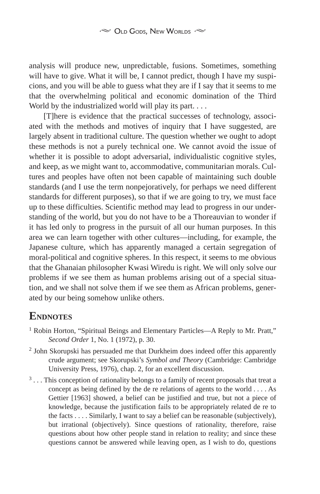analysis will produce new, unpredictable, fusions. Sometimes, something will have to give. What it will be, I cannot predict, though I have my suspicions, and you will be able to guess what they are if I say that it seems to me that the overwhelming political and economic domination of the Third World by the industrialized world will play its part....

[T]here is evidence that the practical successes of technology, associated with the methods and motives of inquiry that I have suggested, are largely absent in traditional culture. The question whether we ought to adopt these methods is not a purely technical one. We cannot avoid the issue of whether it is possible to adopt adversarial, individualistic cognitive styles, and keep, as we might want to, accommodative, communitarian morals. Cultures and peoples have often not been capable of maintaining such double standards (and I use the term nonpejoratively, for perhaps we need different standards for different purposes), so that if we are going to try, we must face up to these difficulties. Scientific method may lead to progress in our understanding of the world, but you do not have to be a Thoreauvian to wonder if it has led only to progress in the pursuit of all our human purposes. In this area we can learn together with other cultures—including, for example, the Japanese culture, which has apparently managed a certain segregation of moral-political and cognitive spheres. In this respect, it seems to me obvious that the Ghanaian philosopher Kwasi Wiredu is right. We will only solve our problems if we see them as human problems arising out of a special situation, and we shall not solve them if we see them as African problems, generated by our being somehow unlike others.

## **ENDNOTES**

- <sup>1</sup> Robin Horton, "Spiritual Beings and Elementary Particles—A Reply to Mr. Pratt," *Second Order* 1, No. 1 (1972), p. 30.
- <sup>2</sup> John Skorupski has persuaded me that Durkheim does indeed offer this apparently crude argument; see Skorupski's *Symbol and Theory* (Cambridge: Cambridge University Press, 1976), chap. 2, for an excellent discussion.
- $3 \dots$  This conception of rationality belongs to a family of recent proposals that treat a concept as being defined by the de re relations of agents to the world . . . . As Gettier [1963] showed, a belief can be justified and true, but not a piece of knowledge, because the justification fails to be appropriately related de re to the facts . . . . Similarly, I want to say a belief can be reasonable (subjectively), but irrational (objectively). Since questions of rationality, therefore, raise questions about how other people stand in relation to reality; and since these questions cannot be answered while leaving open, as I wish to do, questions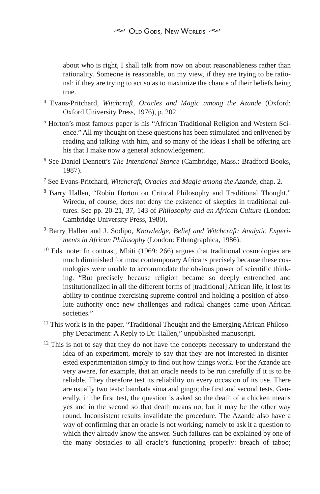about who is right, I shall talk from now on about reasonableness rather than rationality. Someone is reasonable, on my view, if they are trying to be rational: if they are trying to act so as to maximize the chance of their beliefs being true.

- <sup>4</sup> Evans-Pritchard, *Witchcraft, Oracles and Magic among the Azande* (Oxford: Oxford University Press, 1976), p. 202.
- <sup>5</sup> Horton's most famous paper is his "African Traditional Religion and Western Science." All my thought on these questions has been stimulated and enlivened by reading and talking with him, and so many of the ideas I shall be offering are his that I make now a general acknowledgement.
- <sup>6</sup> See Daniel Dennett's *The Intentional Stance* (Cambridge, Mass.: Bradford Books, 1987).
- <sup>7</sup> See Evans-Pritchard, *Witchcraft, Oracles and Magic among the Azande*, chap. 2.
- <sup>8</sup> Barry Hallen, "Robin Horton on Critical Philosophy and Traditional Thought." Wiredu, of course, does not deny the existence of skeptics in traditional cultures. See pp. 20-21, 37, 143 of *Philosophy and an African Culture* (London: Cambridge University Press, 1980).
- <sup>9</sup> Barry Hallen and J. Sodipo, *Knowledge, Belief and Witchcraft: Analytic Experiments in African Philosophy* (London: Ethnographica, 1986).
- <sup>10</sup> Eds. note: In contrast, Mbiti (1969: 266) argues that traditional cosmologies are much diminished for most contemporary Africans precisely because these cosmologies were unable to accommodate the obvious power of scientific thinking. "But precisely because religion became so deeply entrenched and institutionalized in all the different forms of [traditional] African life, it lost its ability to continue exercising supreme control and holding a position of absolute authority once new challenges and radical changes came upon African societies."
- <sup>11</sup> This work is in the paper, "Traditional Thought and the Emerging African Philosophy Department: A Reply to Dr. Hallen," unpublished manuscript.
- $12$  This is not to say that they do not have the concepts necessary to understand the idea of an experiment, merely to say that they are not interested in disinterested experimentation simply to find out how things work. For the Azande are very aware, for example, that an oracle needs to be run carefully if it is to be reliable. They therefore test its reliability on every occasion of its use. There are usually two tests: bambata sima and gingo; the first and second tests. Generally, in the first test, the question is asked so the death of a chicken means yes and in the second so that death means no; but it may be the other way round. Inconsistent results invalidate the procedure. The Azande also have a way of confirming that an oracle is not working; namely to ask it a question to which they already know the answer. Such failures can be explained by one of the many obstacles to all oracle's functioning properly: breach of taboo;